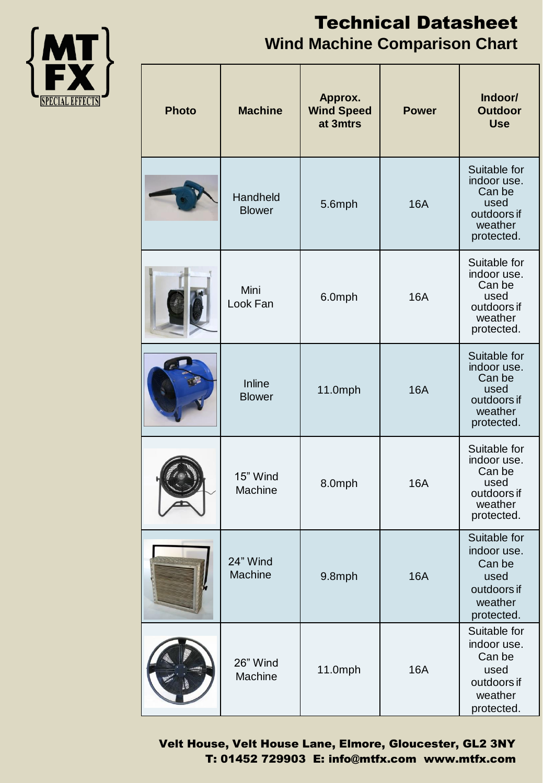

## Technical Datasheet **Wind Machine Comparison Chart**

| <b>Photo</b> | <b>Machine</b>            | Approx.<br><b>Wind Speed</b><br>at 3mtrs | <b>Power</b> | Indoor/<br><b>Outdoor</b><br><b>Use</b>                                               |
|--------------|---------------------------|------------------------------------------|--------------|---------------------------------------------------------------------------------------|
|              | Handheld<br><b>Blower</b> | 5.6mph                                   | <b>16A</b>   | Suitable for<br>indoor use.<br>Can be<br>used<br>outdoors if<br>weather<br>protected. |
|              | Mini<br>Look Fan          | 6.0mph                                   | <b>16A</b>   | Suitable for<br>indoor use.<br>Can be<br>used<br>outdoors if<br>weather<br>protected. |
|              | Inline<br><b>Blower</b>   | 11.0mph                                  | <b>16A</b>   | Suitable for<br>indoor use.<br>Can be<br>used<br>outdoors if<br>weather<br>protected. |
|              | 15" Wind<br>Machine       | 8.0mph                                   | <b>16A</b>   | Suitable for<br>indoor use.<br>Can be<br>used<br>outdoors if<br>weather<br>protected. |
|              | 24" Wind<br>Machine       | 9.8mph                                   | <b>16A</b>   | Suitable for<br>indoor use.<br>Can be<br>used<br>outdoors if<br>weather<br>protected. |
|              | 26" Wind<br>Machine       | 11.0mph                                  | <b>16A</b>   | Suitable for<br>indoor use.<br>Can be<br>used<br>outdoors if<br>weather<br>protected. |

Velt House, Velt House Lane, Elmore, Gloucester, GL2 3NY T: 01452 729903 E: info@mtfx.com www.mtfx.com